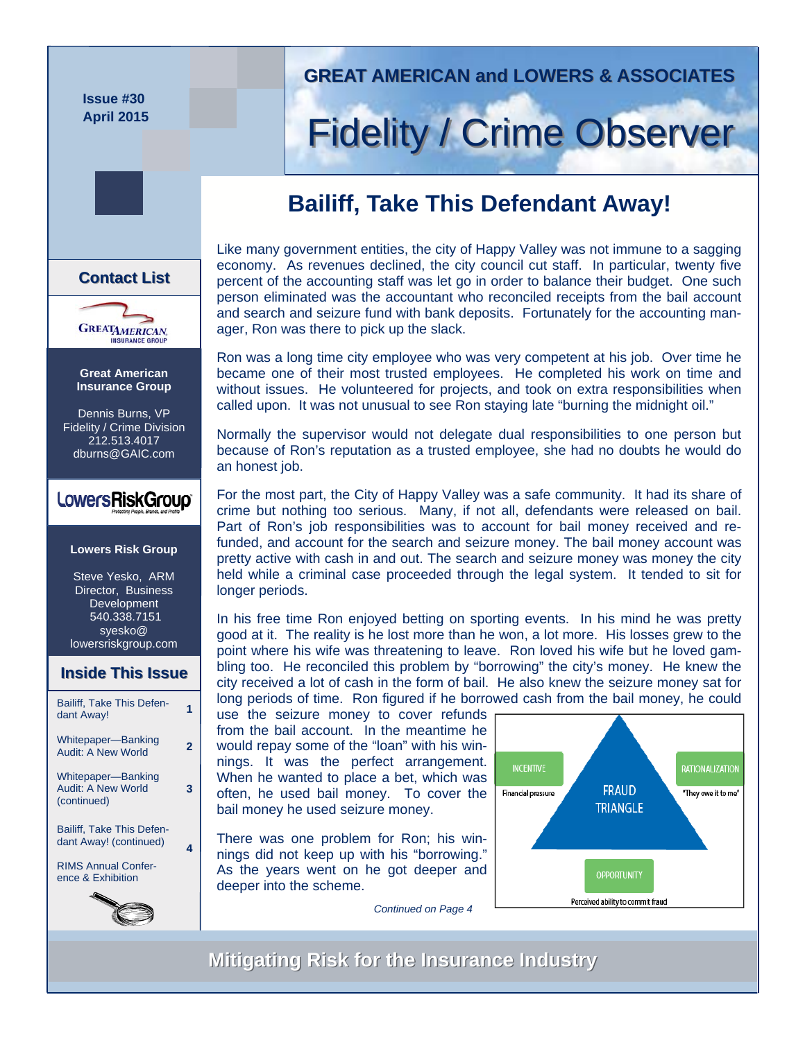**Issue #30 April 2015** 

**Great American Insurance Group**  Dennis Burns, VP Fidelity / Crime Division 212.513.4017 dburns@GAIC.com

**GREATAMERICAN** 

**Contact List List**

**Lowers Risk Group** 

LowersRiskGroup®

Steve Yesko, ARM Director, Business Development 540.338.7151 syesko@ lowersriskgroup.com

Bailiff, Take This Defen-Ballin, Take This Delen-<br>dant Away!

**Inside This Issue Inside This Issue**

Whitepaper—Banking **Audit: A New World** 

Whitepaper—Banking Audit: A New World (continued)

Bailiff, Take This Defendant Away! (continued) RIMS Annual Conference & Exhibition

**3** 

**4** 

### **GREAT AMERICAN and LOWERS & ASSOCIATES GREAT AMERICAN and LOWERS & ASSOCIATES**

# **Fidelity / Crime Observer**

## **Bailiff, Take This Defendant Away!**



Ron was a long time city employee who was very competent at his job. Over time he became one of their most trusted employees. He completed his work on time and without issues. He volunteered for projects, and took on extra responsibilities when called upon. It was not unusual to see Ron staying late "burning the midnight oil."

Normally the supervisor would not delegate dual responsibilities to one person but because of Ron's reputation as a trusted employee, she had no doubts he would do an honest job.

For the most part, the City of Happy Valley was a safe community. It had its share of crime but nothing too serious. Many, if not all, defendants were released on bail. Part of Ron's job responsibilities was to account for bail money received and refunded, and account for the search and seizure money. The bail money account was pretty active with cash in and out. The search and seizure money was money the city held while a criminal case proceeded through the legal system. It tended to sit for longer periods.

In his free time Ron enjoyed betting on sporting events. In his mind he was pretty good at it. The reality is he lost more than he won, a lot more. His losses grew to the point where his wife was threatening to leave. Ron loved his wife but he loved gambling too. He reconciled this problem by "borrowing" the city's money. He knew the city received a lot of cash in the form of bail. He also knew the seizure money sat for long periods of time. Ron figured if he borrowed cash from the bail money, he could

use the seizure money to cover refunds from the bail account. In the meantime he would repay some of the "loan" with his winnings. It was the perfect arrangement. When he wanted to place a bet, which was often, he used bail money. To cover the bail money he used seizure money.

There was one problem for Ron; his winnings did not keep up with his "borrowing." As the years went on he got deeper and deeper into the scheme.



*Continued on Page 4* 

## **Mitigating Risk for the Insurance Industry Mitigating Risk for the Insurance Industry**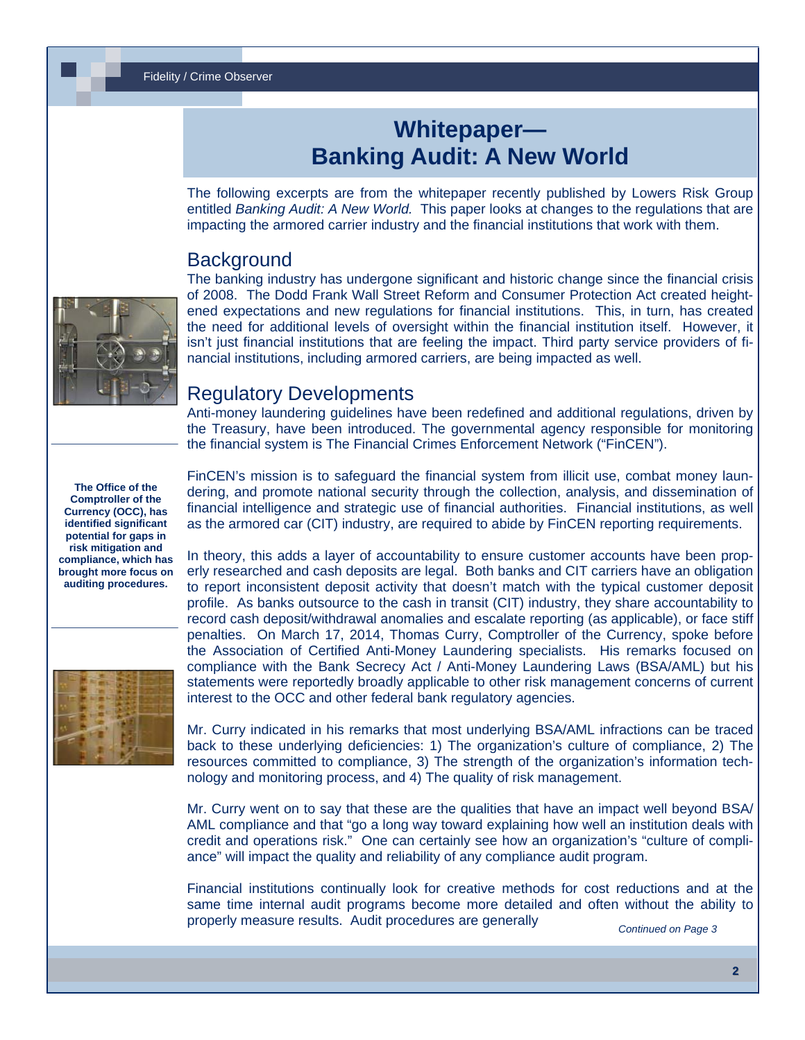# **Whitepaper— Banking Audit: A New World**

The following excerpts are from the whitepaper recently published by Lowers Risk Group entitled *Banking Audit: A New World.* This paper looks at changes to the regulations that are impacting the armored carrier industry and the financial institutions that work with them.

#### **Background**



The banking industry has undergone significant and historic change since the financial crisis of 2008. The Dodd Frank Wall Street Reform and Consumer Protection Act created heightened expectations and new regulations for financial institutions. This, in turn, has created the need for additional levels of oversight within the financial institution itself. However, it isn't just financial institutions that are feeling the impact. Third party service providers of financial institutions, including armored carriers, are being impacted as well.

#### Regulatory Developments

Anti-money laundering guidelines have been redefined and additional regulations, driven by the Treasury, have been introduced. The governmental agency responsible for monitoring the financial system is The Financial Crimes Enforcement Network ("FinCEN").

**The Office of the Comptroller of the Currency (OCC), has identified significant potential for gaps in risk mitigation and compliance, which has brought more focus on auditing procedures.** 



FinCEN's mission is to safeguard the financial system from illicit use, combat money laundering, and promote national security through the collection, analysis, and dissemination of financial intelligence and strategic use of financial authorities. Financial institutions, as well as the armored car (CIT) industry, are required to abide by FinCEN reporting requirements.

In theory, this adds a layer of accountability to ensure customer accounts have been properly researched and cash deposits are legal. Both banks and CIT carriers have an obligation to report inconsistent deposit activity that doesn't match with the typical customer deposit profile. As banks outsource to the cash in transit (CIT) industry, they share accountability to record cash deposit/withdrawal anomalies and escalate reporting (as applicable), or face stiff penalties. On March 17, 2014, Thomas Curry, Comptroller of the Currency, spoke before the Association of Certified Anti-Money Laundering specialists. His remarks focused on compliance with the Bank Secrecy Act / Anti-Money Laundering Laws (BSA/AML) but his statements were reportedly broadly applicable to other risk management concerns of current interest to the OCC and other federal bank regulatory agencies.

Mr. Curry indicated in his remarks that most underlying BSA/AML infractions can be traced back to these underlying deficiencies: 1) The organization's culture of compliance, 2) The resources committed to compliance, 3) The strength of the organization's information technology and monitoring process, and 4) The quality of risk management.

Mr. Curry went on to say that these are the qualities that have an impact well beyond BSA/ AML compliance and that "go a long way toward explaining how well an institution deals with credit and operations risk." One can certainly see how an organization's "culture of compliance" will impact the quality and reliability of any compliance audit program.

Financial institutions continually look for creative methods for cost reductions and at the same time internal audit programs become more detailed and often without the ability to properly measure results. Audit procedures are generally

*Continued on Page 3*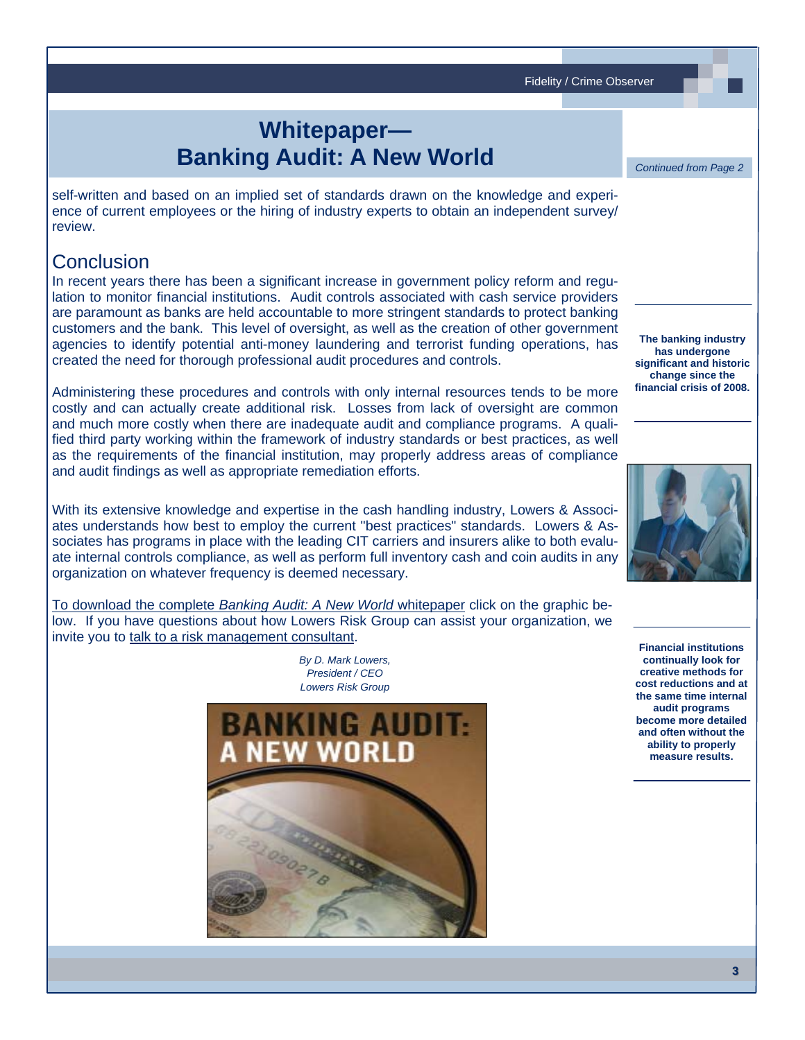Fidelity / Crime Observer

# **Whitepaper— Banking Audit: A New World**

self-written and based on an implied set of standards drawn on the knowledge and experience of current employees or the hiring of industry experts to obtain an independent survey/ review.

## **Conclusion**

In recent years there has been a significant increase in government policy reform and regulation to monitor financial institutions. Audit controls associated with cash service providers are paramount as banks are held accountable to more stringent standards to protect banking customers and the bank. This level of oversight, as well as the creation of other government agencies to identify potential anti-money laundering and terrorist funding operations, has created the need for thorough professional audit procedures and controls.

Administering these procedures and controls with only internal resources tends to be more costly and can actually create additional risk. Losses from lack of oversight are common and much more costly when there are inadequate audit and compliance programs. A qualified third party working within the framework of industry standards or best practices, as well as the requirements of the financial institution, may properly address areas of compliance and audit findings as well as appropriate remediation efforts.

With its extensive knowledge and expertise in the cash handling industry, Lowers & Associates understands how best to employ the current "best practices" standards. Lowers & Associates has programs in place with the leading CIT carriers and insurers alike to both evaluate internal controls compliance, as well as perform full inventory cash and coin audits in any organization on whatever frequency is deemed necessary.

To download the complete *[Banking Audit: A New World](http://www.lowersriskgroup.com/lp/banking-audits)* whitepaper click on the graphic below. If you have questions about how Lowers Risk Group can assist your organization, we invite you to [talk to a risk management consultant](http://www.lowersriskgroup.com/contact/request-meeting.php).

> *By D. Mark Lowers, President / CEO Lowers Risk Group*



**The banking industry has undergone significant and historic change since the financial crisis of 2008.**

*Continued from Page 2* 



**Financial institutions continually look for creative methods for cost reductions and at the same time internal audit programs become more detailed and often without the ability to properly measure results.**